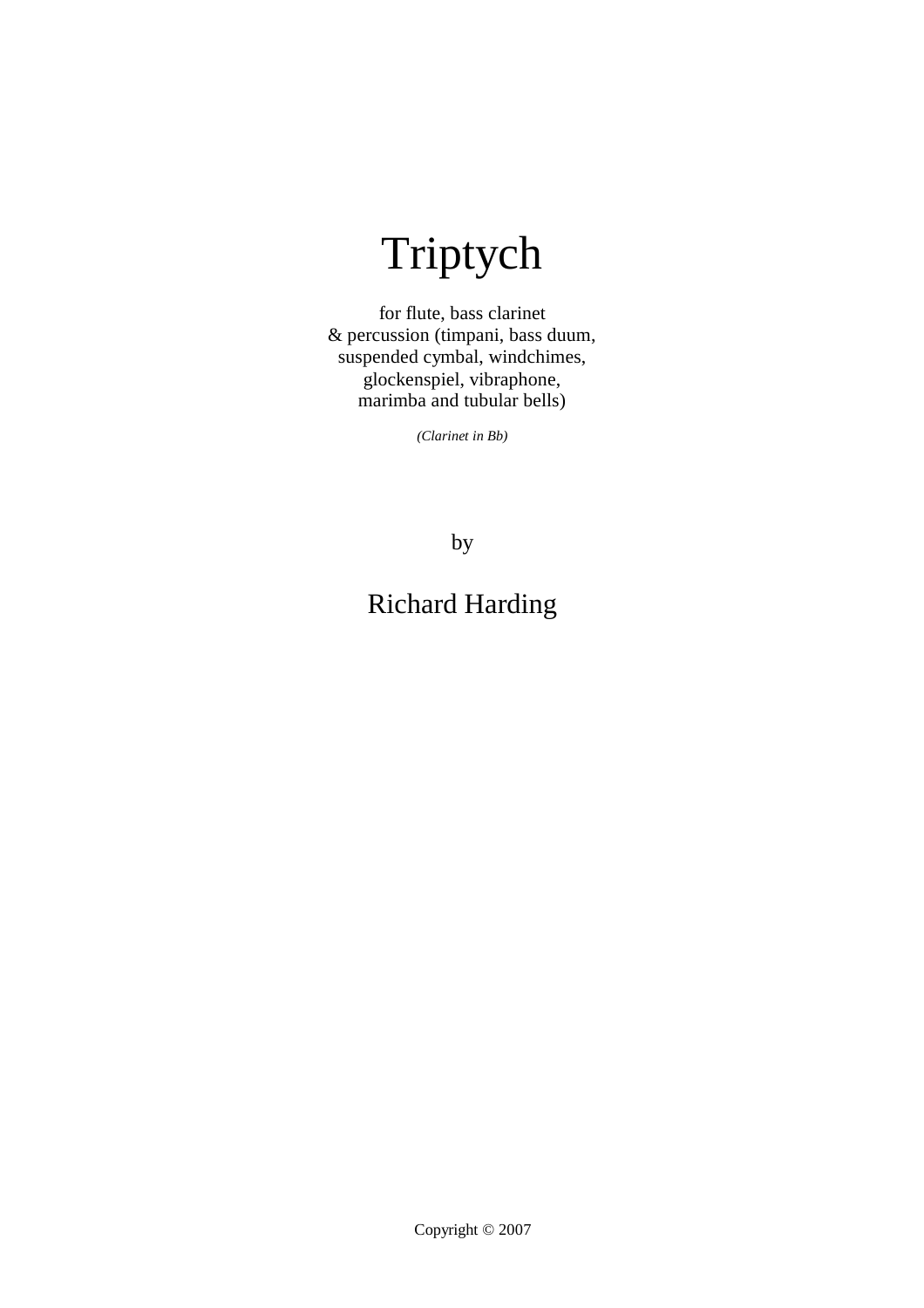## Triptych

for flute, bass clarinet & percussion (timpani, bass duum, suspended cymbal, windchimes, glockenspiel, vibraphone, marimba and tubular bells)

*(Clarinet in Bb)*

by

## Richard Harding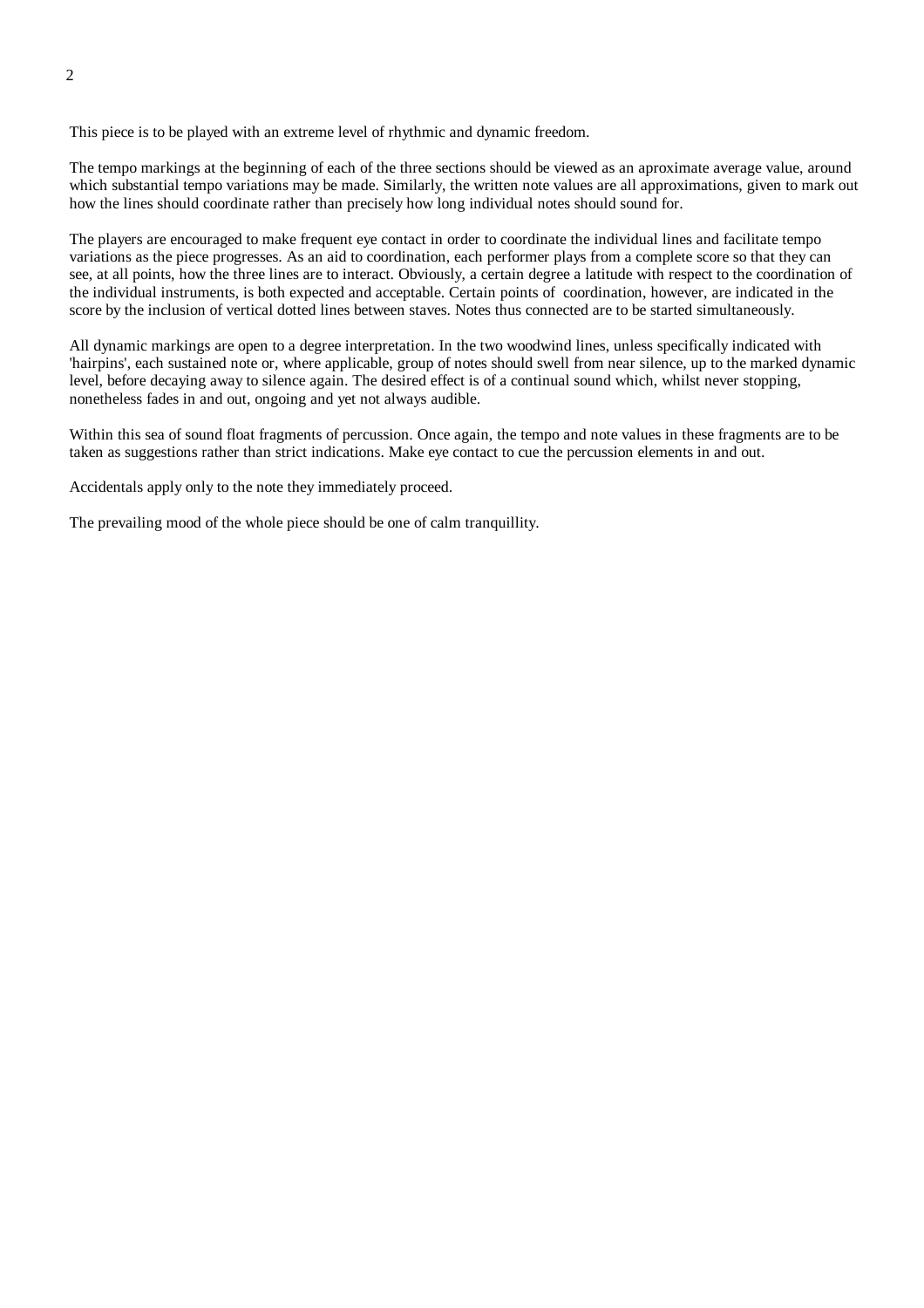This piece is to be played with an extreme level of rhythmic and dynamic freedom.

The tempo markings at the beginning of each of the three sections should be viewed as an aproximate average value, around which substantial tempo variations may be made. Similarly, the written note values are all approximations, given to mark out how the lines should coordinate rather than precisely how long individual notes should sound for.

The players are encouraged to make frequent eye contact in order to coordinate the individual lines and facilitate tempo variations as the piece progresses. As an aid to coordination, each performer plays from a complete score so that they can see, at all points, how the three lines are to interact. Obviously, a certain degree a latitude with respect to the coordination of the individual instruments, is both expected and acceptable. Certain points of coordination, however, are indicated in the score by the inclusion of vertical dotted lines between staves. Notes thus connected are to be started simultaneously.

All dynamic markings are open to a degree interpretation. In the two woodwind lines, unless specifically indicated with 'hairpins', each sustained note or, where applicable, group of notes should swell from near silence, up to the marked dynamic level, before decaying away to silence again. The desired effect is of a continual sound which, whilst never stopping, nonetheless fades in and out, ongoing and yet not always audible.

Within this sea of sound float fragments of percussion. Once again, the tempo and note values in these fragments are to be taken as suggestions rather than strict indications. Make eye contact to cue the percussion elements in and out.

Accidentals apply only to the note they immediately proceed.

The prevailing mood of the whole piece should be one of calm tranquillity.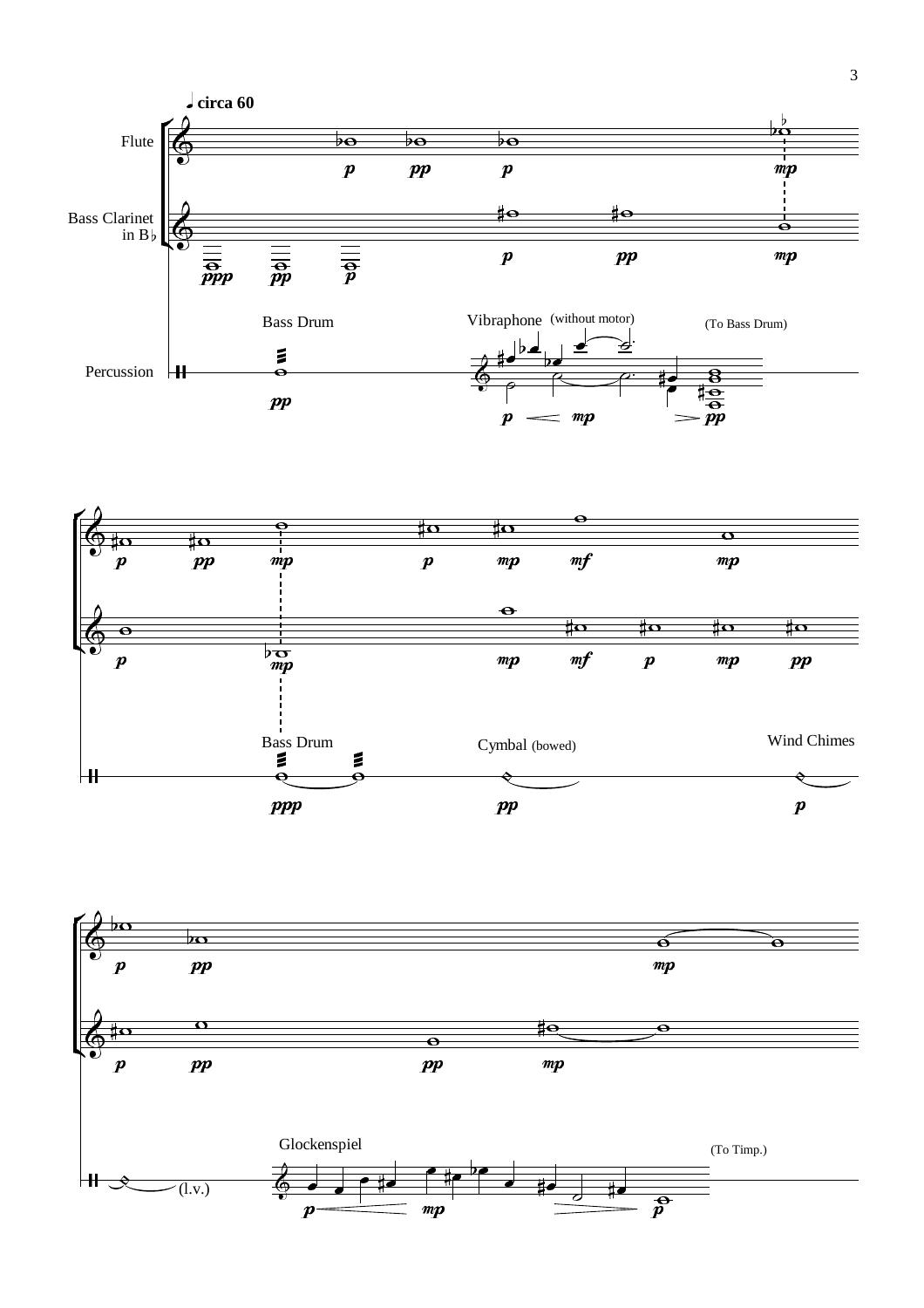



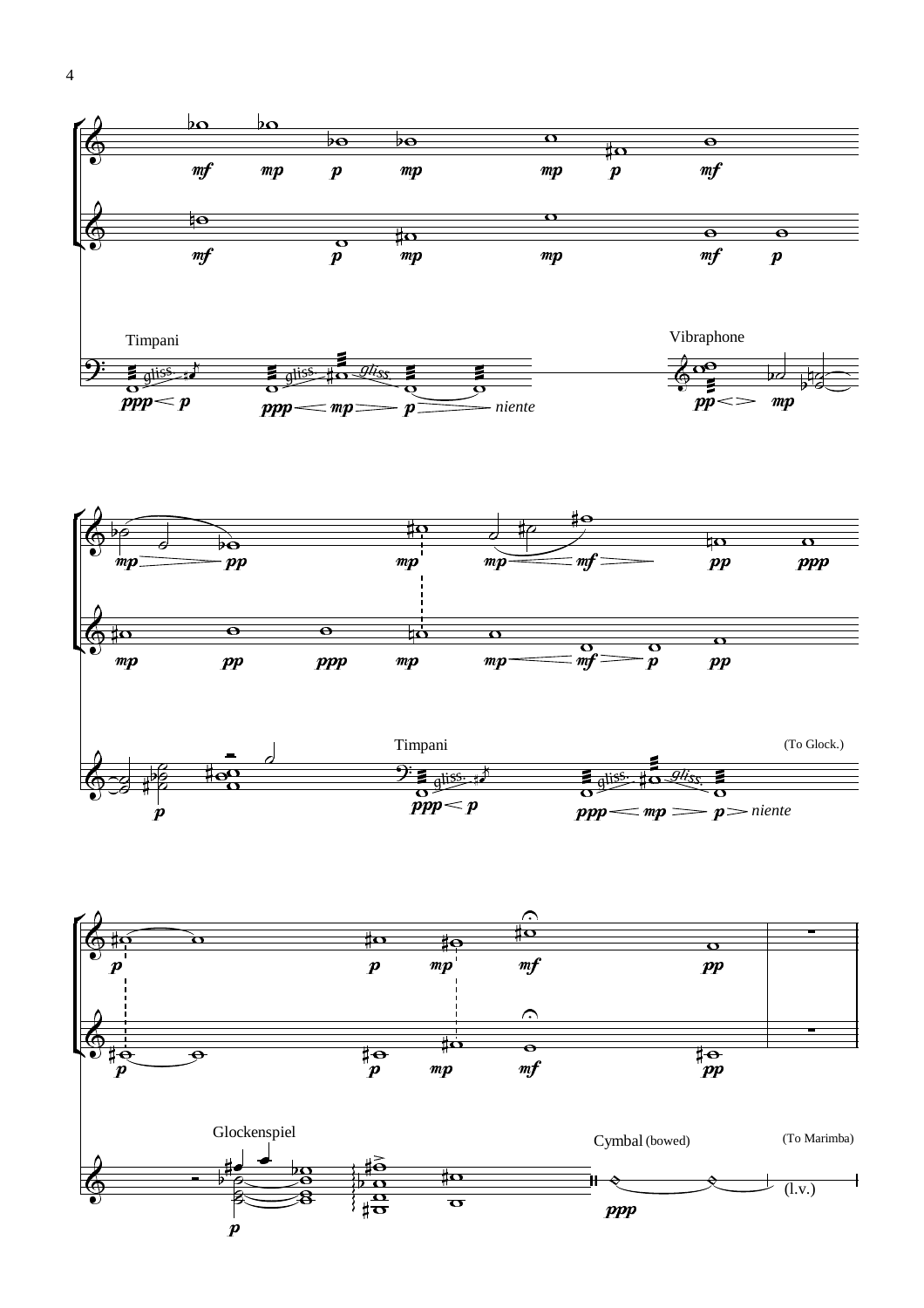



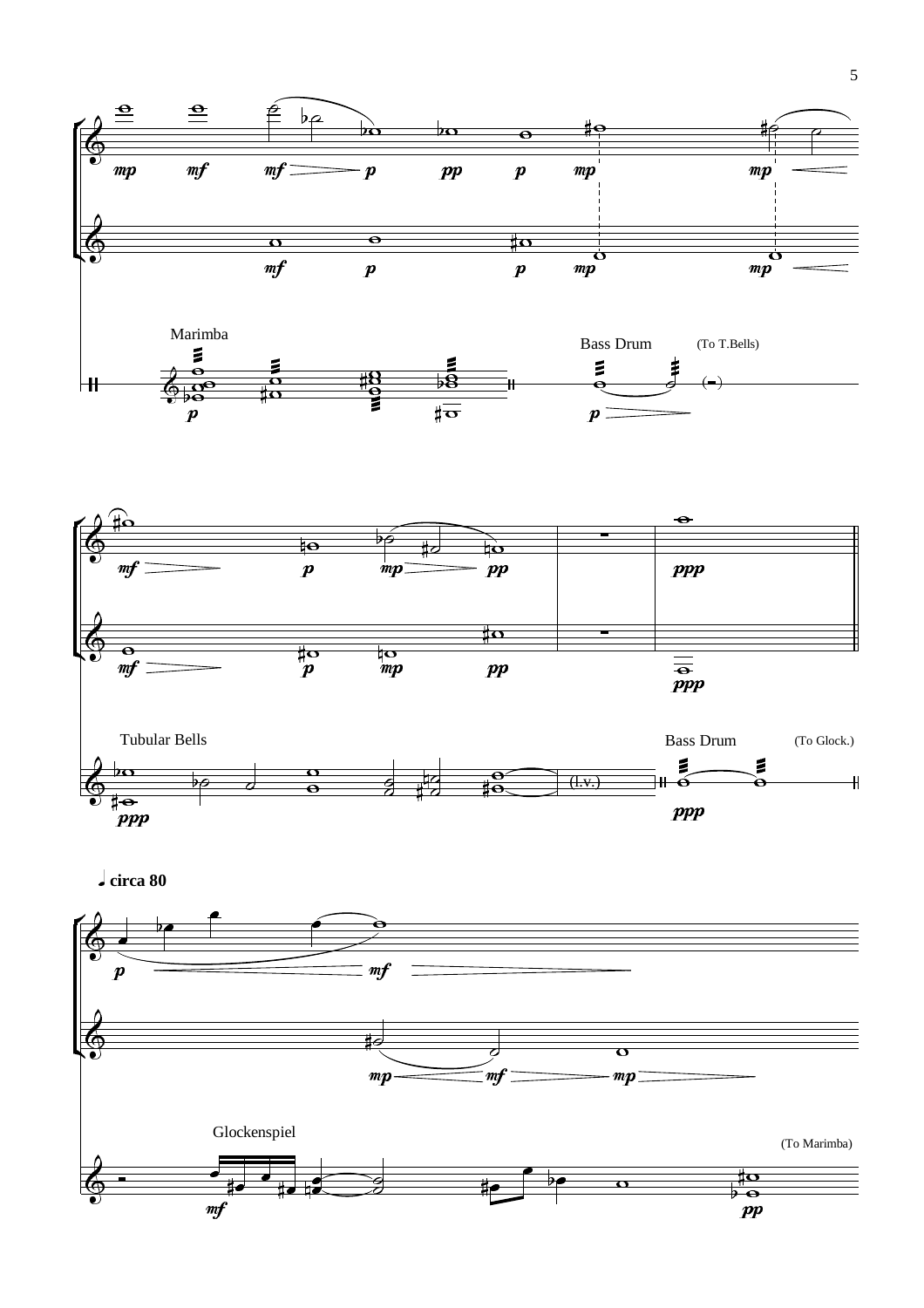







 **circa 80**

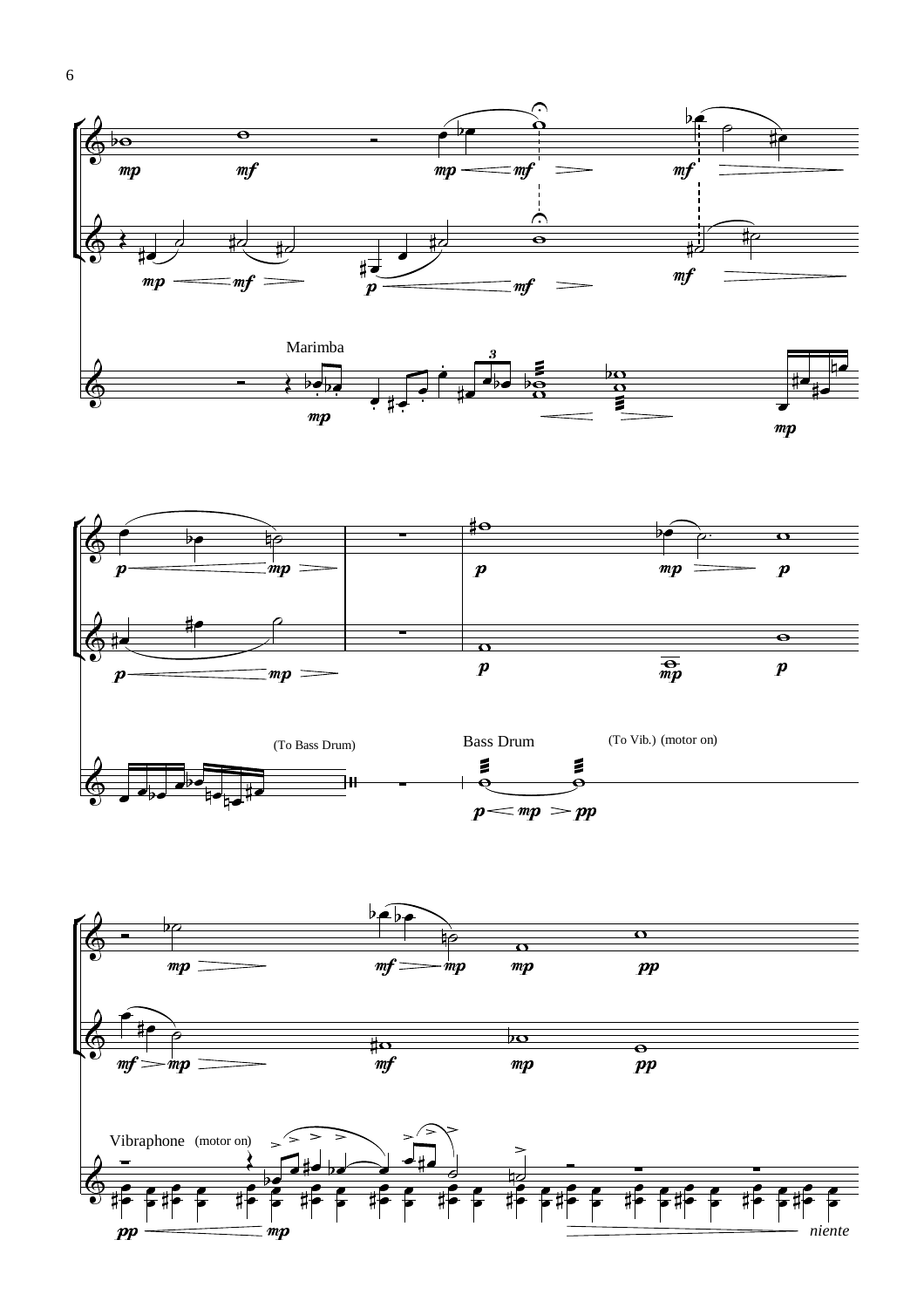







6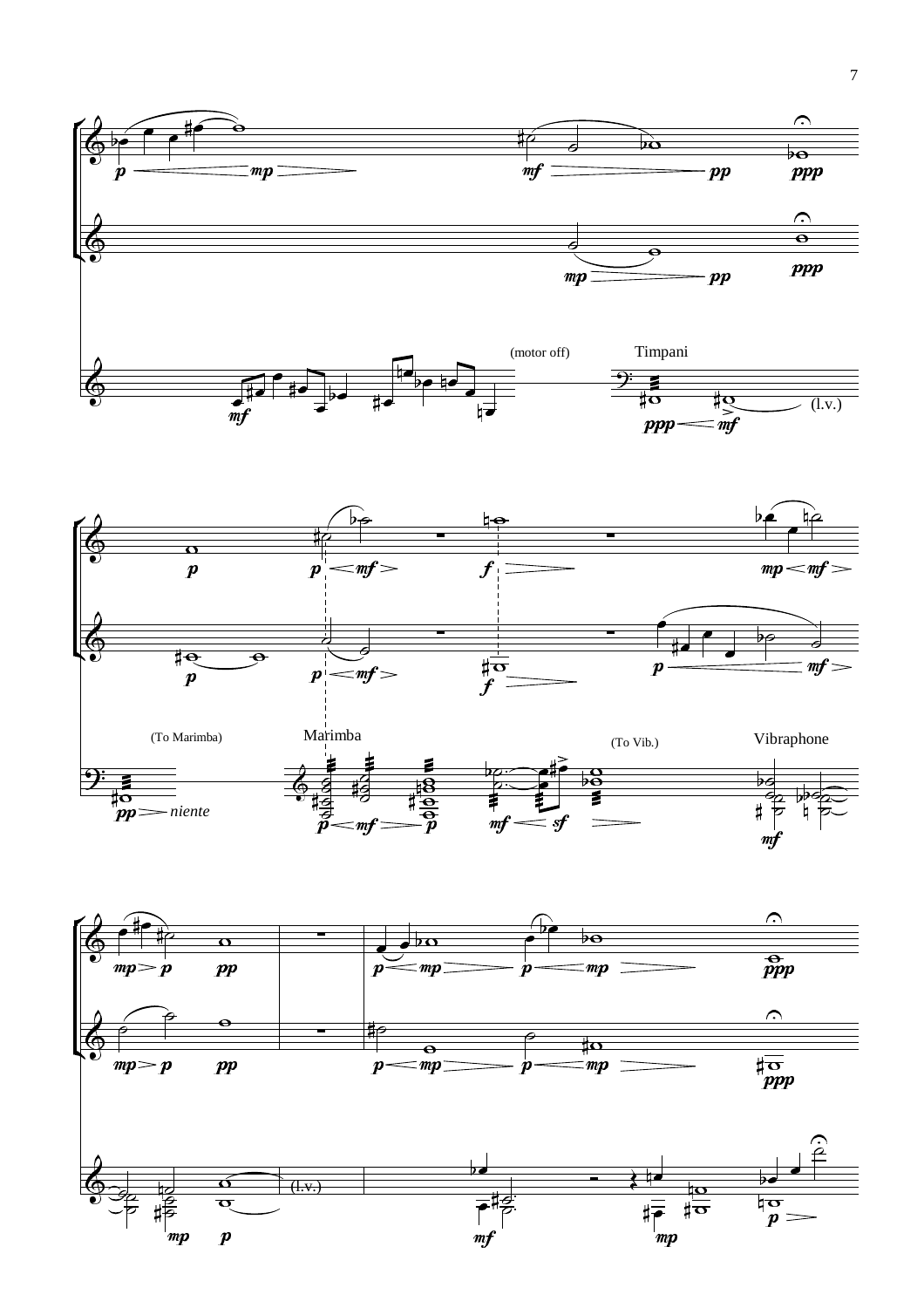





 $f \qquad \qquad m p$ 

 $\mathcal{L}_{\bm{m}{\bm{p}}}$ 

 $p$   $p$   $m$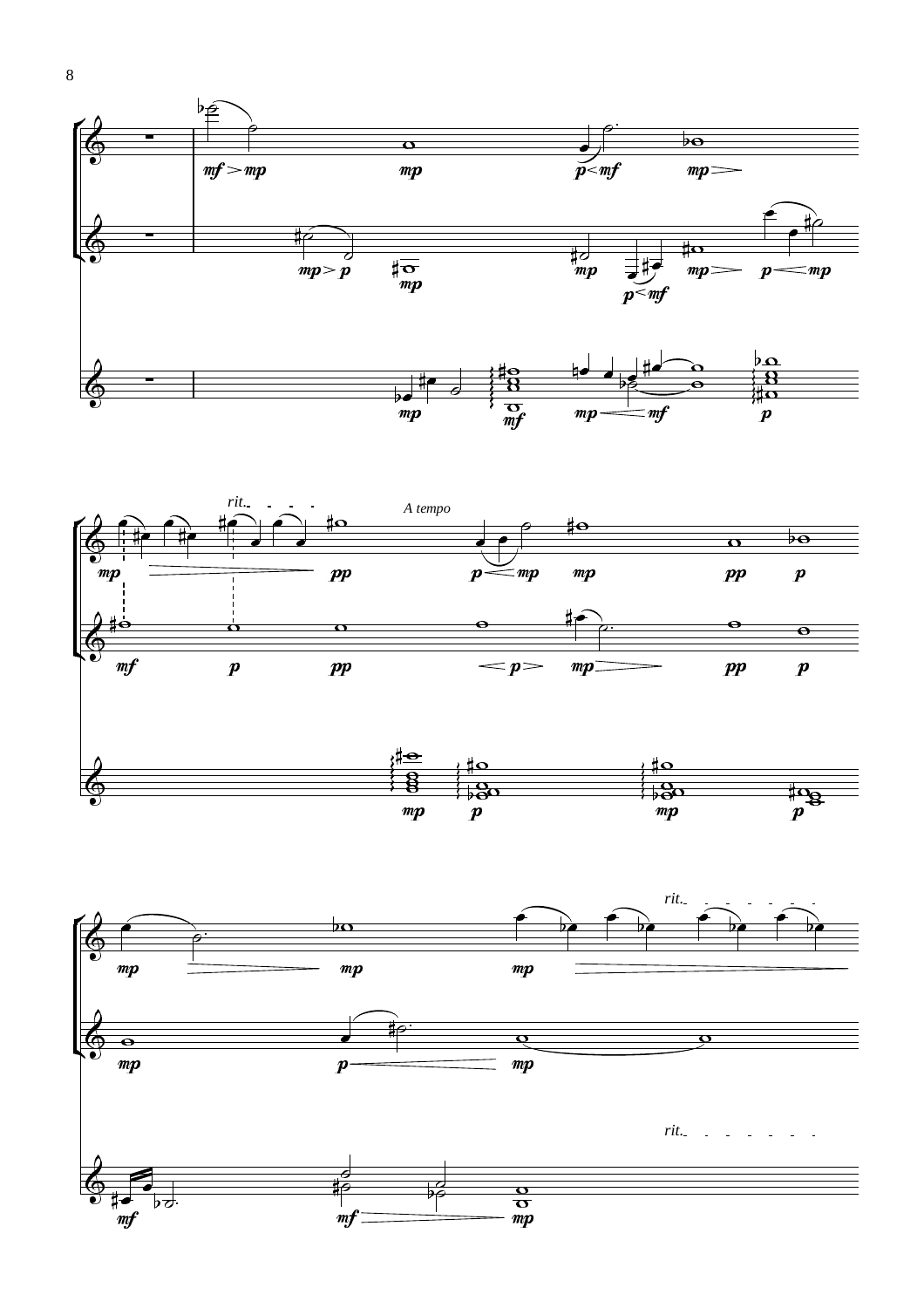





8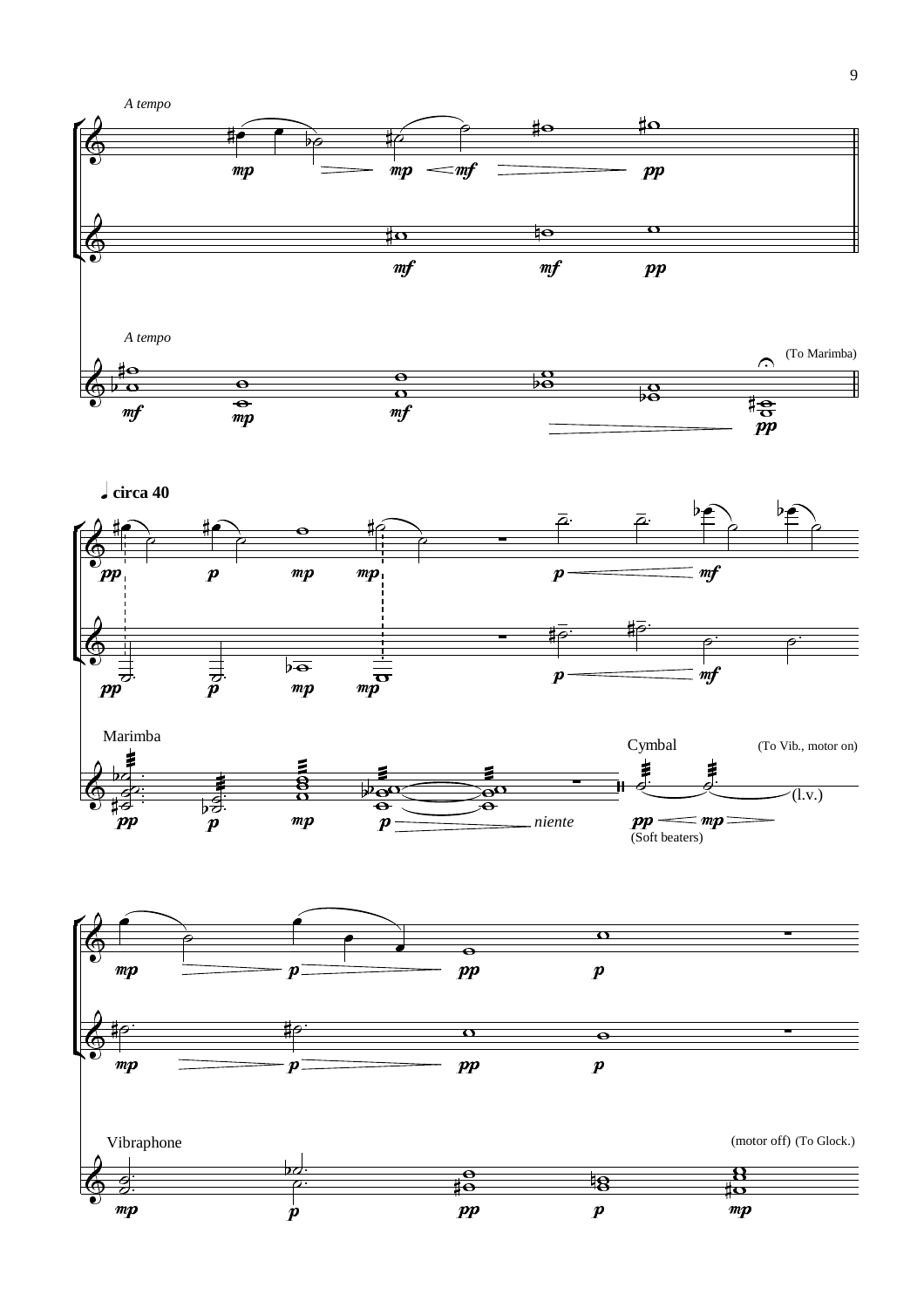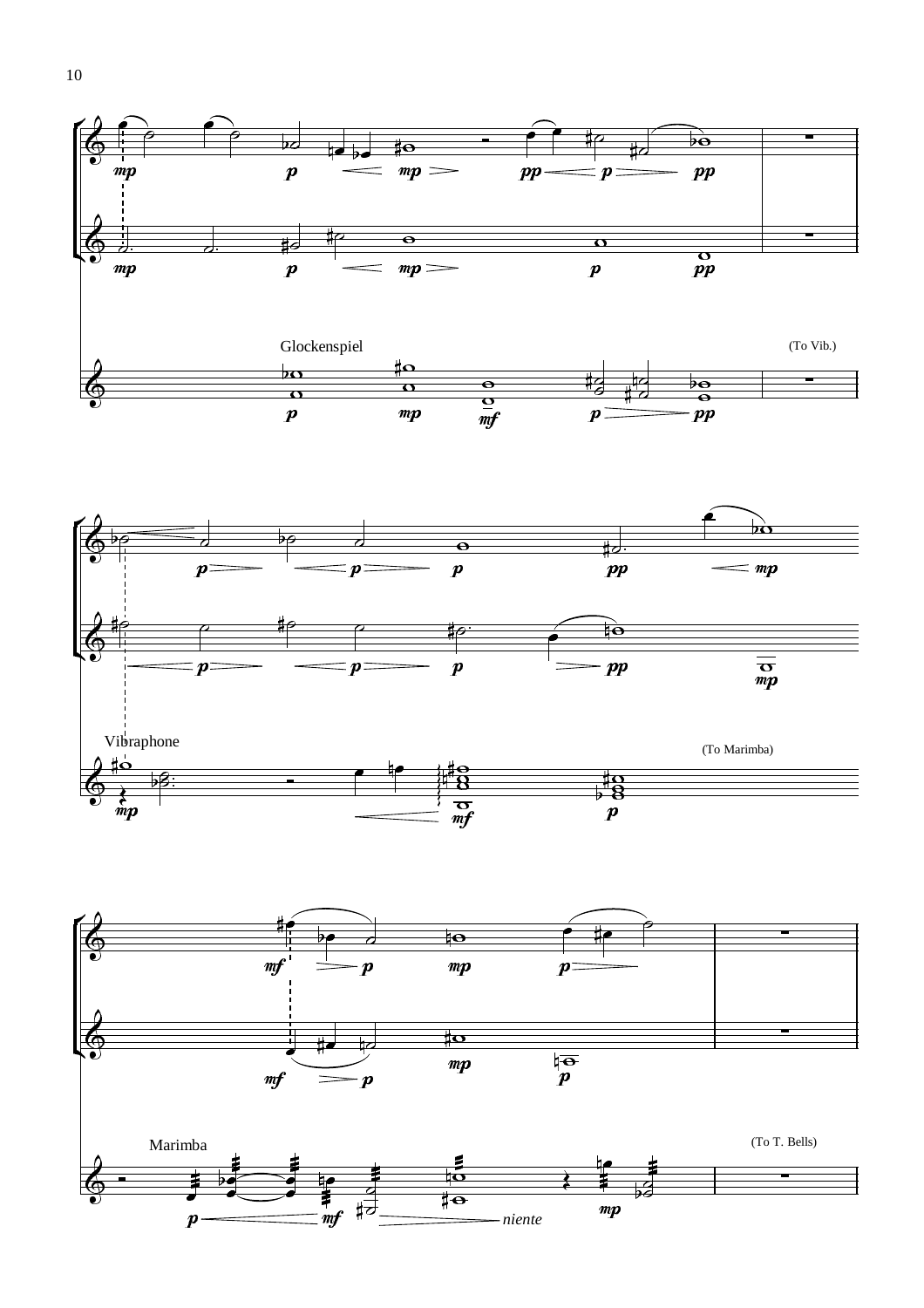

 $p \frac{m}{m}$ 

 $\stackrel{\sim}{p} \longrightarrow pp$ 

 $p \hspace{1.5cm} m$